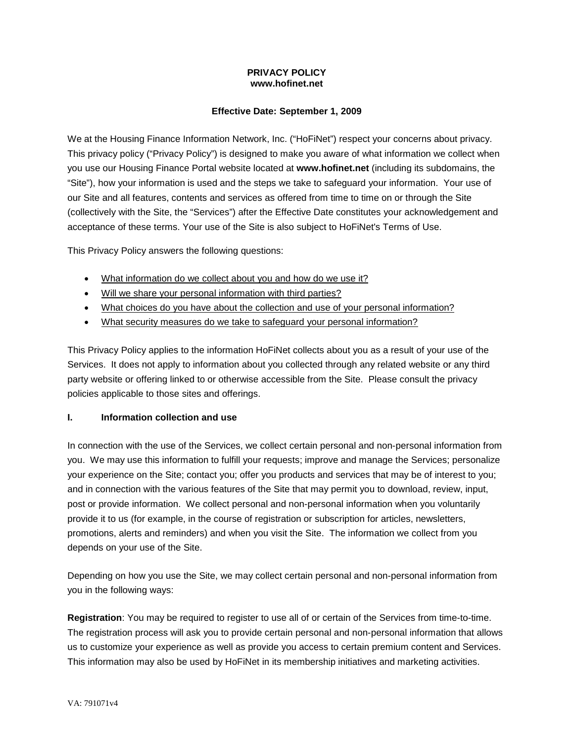## **PRIVACY POLICY www.hofinet.net**

## **Effective Date: September 1, 2009**

We at the Housing Finance Information Network, Inc. ("HoFiNet") respect your concerns about privacy. This privacy policy ("Privacy Policy") is designed to make you aware of what information we collect when you use our Housing Finance Portal website located at **www.hofinet.net** (including its subdomains, the "Site"), how your information is used and the steps we take to safeguard your information. Your use of our Site and all features, contents and services as offered from time to time on or through the Site (collectively with the Site, the "Services") after the Effective Date constitutes your acknowledgement and acceptance of these terms. Your use of the Site is also subject to HoFiNet's Terms of Use.

This Privacy Policy answers the following questions:

- What information do we collect about you and how do we use it?
- Will we share your personal information with third parties?
- What choices do you have about the collection and use of your personal information?
- What security measures do we take to safeguard your personal information?

This Privacy Policy applies to the information HoFiNet collects about you as a result of your use of the Services. It does not apply to information about you collected through any related website or any third party website or offering linked to or otherwise accessible from the Site. Please consult the privacy policies applicable to those sites and offerings.

#### **I. Information collection and use**

In connection with the use of the Services, we collect certain personal and non-personal information from you. We may use this information to fulfill your requests; improve and manage the Services; personalize your experience on the Site; contact you; offer you products and services that may be of interest to you; and in connection with the various features of the Site that may permit you to download, review, input, post or provide information. We collect personal and non-personal information when you voluntarily provide it to us (for example, in the course of registration or subscription for articles, newsletters, promotions, alerts and reminders) and when you visit the Site. The information we collect from you depends on your use of the Site.

Depending on how you use the Site, we may collect certain personal and non-personal information from you in the following ways:

**Registration**: You may be required to register to use all of or certain of the Services from time-to-time. The registration process will ask you to provide certain personal and non-personal information that allows us to customize your experience as well as provide you access to certain premium content and Services. This information may also be used by HoFiNet in its membership initiatives and marketing activities.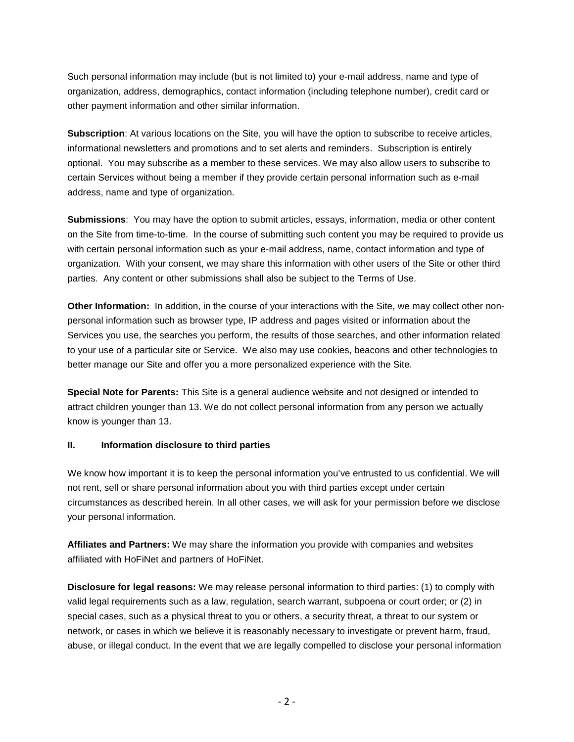Such personal information may include (but is not limited to) your e-mail address, name and type of organization, address, demographics, contact information (including telephone number), credit card or other payment information and other similar information.

**Subscription**: At various locations on the Site, you will have the option to subscribe to receive articles, informational newsletters and promotions and to set alerts and reminders. Subscription is entirely optional. You may subscribe as a member to these services. We may also allow users to subscribe to certain Services without being a member if they provide certain personal information such as e-mail address, name and type of organization.

**Submissions**: You may have the option to submit articles, essays, information, media or other content on the Site from time-to-time. In the course of submitting such content you may be required to provide us with certain personal information such as your e-mail address, name, contact information and type of organization. With your consent, we may share this information with other users of the Site or other third parties. Any content or other submissions shall also be subject to the Terms of Use.

**Other Information:** In addition, in the course of your interactions with the Site, we may collect other nonpersonal information such as browser type, IP address and pages visited or information about the Services you use, the searches you perform, the results of those searches, and other information related to your use of a particular site or Service.We also may use cookies, beacons and other technologies to better manage our Site and offer you a more personalized experience with the Site.

**Special Note for Parents:** This Site is a general audience website and not designed or intended to attract children younger than 13. We do not collect personal information from any person we actually know is younger than 13.

## **II. Information disclosure to third parties**

We know how important it is to keep the personal information you've entrusted to us confidential. We will not rent, sell or share personal information about you with third parties except under certain circumstances as described herein. In all other cases, we will ask for your permission before we disclose your personal information.

**Affiliates and Partners:** We may share the information you provide with companies and websites affiliated with HoFiNet and partners of HoFiNet.

**Disclosure for legal reasons:** We may release personal information to third parties: (1) to comply with valid legal requirements such as a law, regulation, search warrant, subpoena or court order; or (2) in special cases, such as a physical threat to you or others, a security threat, a threat to our system or network, or cases in which we believe it is reasonably necessary to investigate or prevent harm, fraud, abuse, or illegal conduct. In the event that we are legally compelled to disclose your personal information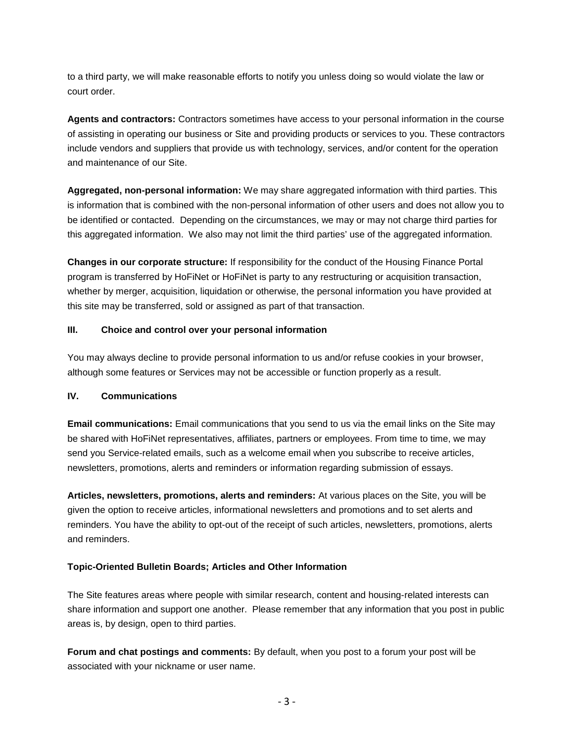to a third party, we will make reasonable efforts to notify you unless doing so would violate the law or court order.

**Agents and contractors:** Contractors sometimes have access to your personal information in the course of assisting in operating our business or Site and providing products or services to you. These contractors include vendors and suppliers that provide us with technology, services, and/or content for the operation and maintenance of our Site.

**Aggregated, non-personal information:** We may share aggregated information with third parties. This is information that is combined with the non-personal information of other users and does not allow you to be identified or contacted. Depending on the circumstances, we may or may not charge third parties for this aggregated information. We also may not limit the third parties' use of the aggregated information.

**Changes in our corporate structure:** If responsibility for the conduct of the Housing Finance Portal program is transferred by HoFiNet or HoFiNet is party to any restructuring or acquisition transaction, whether by merger, acquisition, liquidation or otherwise, the personal information you have provided at this site may be transferred, sold or assigned as part of that transaction.

## **III. Choice and control over your personal information**

You may always decline to provide personal information to us and/or refuse cookies in your browser, although some features or Services may not be accessible or function properly as a result.

#### **IV. Communications**

**Email communications:** Email communications that you send to us via the email links on the Site may be shared with HoFiNet representatives, affiliates, partners or employees. From time to time, we may send you Service-related emails, such as a welcome email when you subscribe to receive articles, newsletters, promotions, alerts and reminders or information regarding submission of essays.

**Articles, newsletters, promotions, alerts and reminders:** At various places on the Site, you will be given the option to receive articles, informational newsletters and promotions and to set alerts and reminders. You have the ability to opt-out of the receipt of such articles, newsletters, promotions, alerts and reminders.

## **Topic-Oriented Bulletin Boards; Articles and Other Information**

The Site features areas where people with similar research, content and housing-related interests can share information and support one another. Please remember that any information that you post in public areas is, by design, open to third parties.

**Forum and chat postings and comments:** By default, when you post to a forum your post will be associated with your nickname or user name.